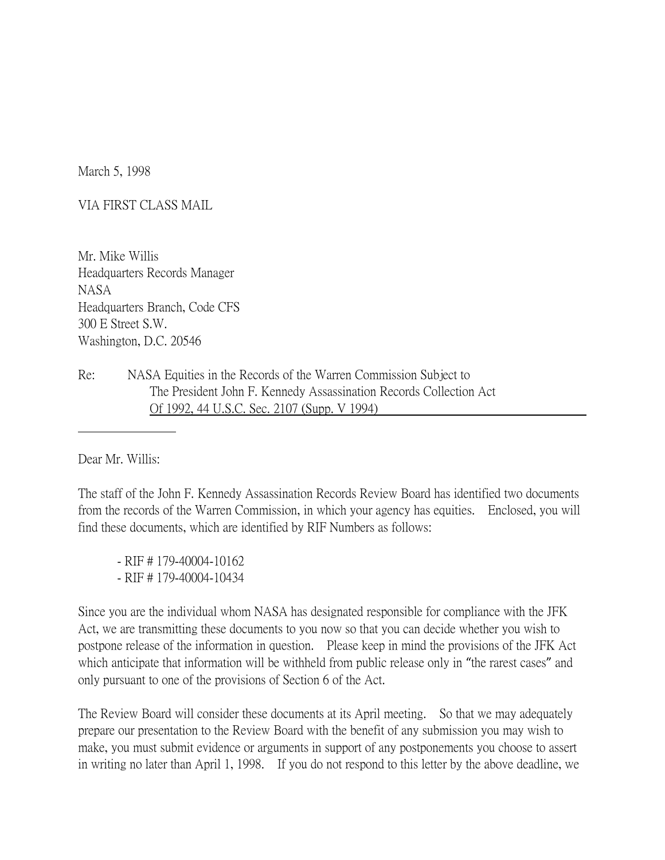March 5, 1998

VIA FIRST CLASS MAIL

Mr. Mike Willis Headquarters Records Manager NASA Headquarters Branch, Code CFS 300 E Street S.W. Washington, D.C. 20546

Re: NASA Equities in the Records of the Warren Commission Subject to The President John F. Kennedy Assassination Records Collection Act Of 1992, 44 U.S.C. Sec. 2107 (Supp. V 1994)

Dear Mr. Willis:

The staff of the John F. Kennedy Assassination Records Review Board has identified two documents from the records of the Warren Commission, in which your agency has equities. Enclosed, you will find these documents, which are identified by RIF Numbers as follows:

- RIF # 179-40004-10162 - RIF # 179-40004-10434

Since you are the individual whom NASA has designated responsible for compliance with the JFK Act, we are transmitting these documents to you now so that you can decide whether you wish to postpone release of the information in question. Please keep in mind the provisions of the JFK Act which anticipate that information will be withheld from public release only in "the rarest cases" and only pursuant to one of the provisions of Section 6 of the Act.

The Review Board will consider these documents at its April meeting. So that we may adequately prepare our presentation to the Review Board with the benefit of any submission you may wish to make, you must submit evidence or arguments in support of any postponements you choose to assert in writing no later than April 1, 1998. If you do not respond to this letter by the above deadline, we